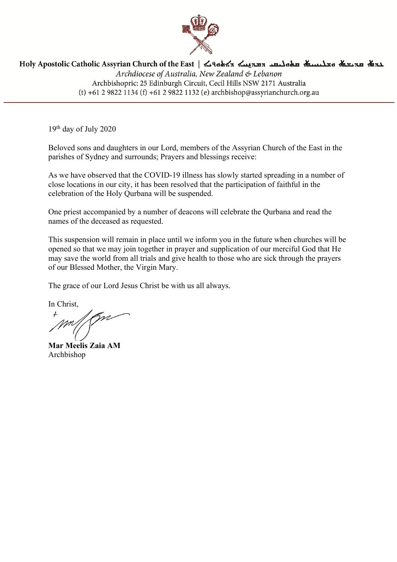

## Holy Apostolic Catholic Assyrian Church of the East | مذاهمها مستعدم المسلّم المسافح المسافح المسافح

Archdiocese of Australia, New Zealand & Lebanon Archbishopric: 25 Edinburgh Circuit, Cecil Hills NSW 2171 Australia (t) +61 2 9822 1134 (f) +61 2 9822 1132 (e) archbishop@assyrianchurch.org.au

19th day of July 2020

Beloved sons and daughters in our Lord, members of the Assyrian Church of the East in the parishes of Sydney and surrounds; Prayers and blessings receive:

As we have observed that the COVID-19 illness has slowly started spreading in a number of close locations in our city, it has been resolved that the participation of faithful in the celebration of the Holy Qurbana will be suspended.

One priest accompanied by a number of deacons will celebrate the Qurbana and read the names of the deceased as requested.

This suspension will remain in place until we inform you in the future when churches will be opened so that we may join together in prayer and supplication of our merciful God that He may save the world from all trials and give health to those who are sick through the prayers of our Blessed Mother, the Virgin Mary.

The grace of our Lord Jesus Christ be with us all always.

In Christ,

m

**Mar Meelis Zaia AM** Archbishop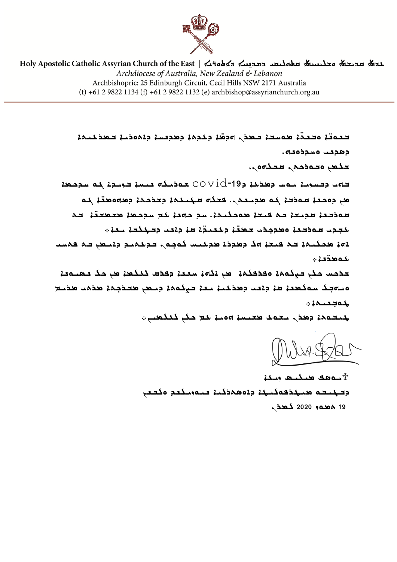

Holy Apostolic Catholic Assyrian Church of the East | Lights Lynn Lake Souther Streets the Archdiocese of Australia, New Zealand & Lebanon Archbishopric: 25 Edinburgh Circuit, Cecil Hills NSW 2171 Australia (t) +61 2 9822 1134 (f) +61 2 9822 1132 (e) archbishop@assyrianchurch.org.au

ححمقة محعمة همسحة حهذم ومكدمة وهومسة و4ممزحة حهدكتمة دهديب مسدذهيه. ȥȉȌȐ ܢȅȨܪǪǶܘ ܢܘȡǫȉǵ ،  $\sim$ حيوم جحسوم $\sim$  حمد دوك $\rm d$ خوذك $\rm d$ و جموع جموع جون جون جون جمع جموعة هم ڊومدن سوڌتني مي هجيندي. فعلم سندمن ڊعذمدن ڊهي وهيئي جو ȏȦȌȦȋ ǸdzȅȌǧ ȗȍ ǵȎǧ ȅ Ǹdz . ȋǶȅȉȂȨǨ ȚȂȦǧ ǪȨ ȡdzȁȦǧ ȡǶܪǪȏǧ ̈ ǪȨ ǧ √<del>ي</del>جد سمذكعۂ مھدمِدد مسكّۂ مكتمدّۂ سن ملك وكيكلمة معن  $\frac{1}{4}$ ححكتم{ نحم قنعة الله جعدة محدثة محمد كمجمى نحمته بعد كمست ِ<br>ۂ معدّد∤⊹  $\star$ خذحت حلى حولهمة مقذفلمة ، هي  $\lambda$ مة سعدة دفذها لكلهة هي حلا مقتلمة مدەبك سەكھىلە قادىم دەخمىلى سىلەمى دىمى ھىددىما ھذمت ھذيىر ܀ ȏȂȨǨ Ǫ̣ ǻǶ ܀ ȈȘȉȌȂȐ ȅȉȐ ȗȍ ܘܗȁǧ ȋȦȂǹǧ ȁȦǶܥ ܕȋȤܢ ǻȂǫǶܬǨ

أأأدعه مدكنها ومكة دِكِـدِّـد ھىلىكەكىلىكە دەھمەنگىە قىمەنىگىد ەگەند ܇19 ܙȋǶܬ 2020 ܢȈȌȤ